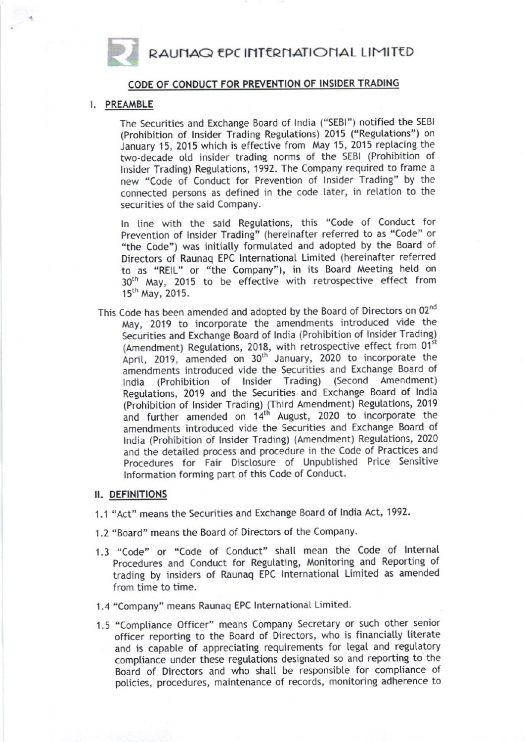RAUNAQ EPC INTERNATIONAL LIMITED



CODE OF CONDUCT FOR PREVENTION OF INSIDER TRADING

## I. PREAMBLE

The Securities and Exchange Board of lndia ("SEB|") notified the SEB| (Prohibition of lnsider Trading Regutations) 2015 ("Regulations") on January 15, 2015 which is effective from May 15, 2015 replacing the two-decade otd insider trading norms of the SEBI (Prohibition of Insider Trading) Regulations, 1992. The Company required to frame a new "Code of Conduct for Prevention of lnsider Trading" by the connected persons as defined in the code later, in relation to the securities of the said Company.

ln tine with the said Regutations, this "Code of Conduct for Prevention of lnsider Trading" (hereinafter referred to as "Code" or "the Code") was initially formulated and adopted by the Board of Directors of Raunaq EPC lnternational Limited (hereinafter referred to as "REIL" or "the Company"), in its Board Meeting hetd on 30<sup>th</sup> May, 2015 to be effective with retrospective effect from 15th May, 2015.

This Code has been amended and adopted by the Board of Directors on 02nd May, 2019 to incorporate the amendments introduced vide the Securities and Exchange Board of lndia (Prohibition of lnsider Trading) (Amendment) Regulations, 2018, with retrospective effect from 01<sup>st</sup> April, 2019, amended on 30<sup>th</sup> January, 2020 to incorporate the amendments introduced vide the Securities and Exchange Board of lndia (Prohibition of lnsider Trading) (Second Amendment) Regulations, 2019 and the Securities and Exchange Board of India (Prohibition of lnsider Trading) (Third Amendment) Regutations, 2019 and further amended on 14<sup>th</sup> August, 2020 to incorporate the amendments introduced vide the Securities and Exchange Board of lndia (Prohibition of lnsider Trading) (Amendment) Regutations, 2020 and the detaited process and procedure in the Code of Practices and Procedures for Fair Disctosure of Unpubtished Price Sensitive lnformation forming part of this Code of Conduct.

## II. DEFINITIONS

- '1,1 "Act" means the Securities and Exchange Board of lndia Act, 1992.
- 1.2 "Board" means the Board of Directors of the Company.
- 1.3 "code" or "code of conduct" shalt mean the code of lnternat Procedures and Conduct for Regulating, Monitoring and Reporting of trading by insiders of Raunaq EPC lnternationat Limited as amended from time to time.
- 1.4 "Company" means Raunaq EPC lnternationat Limited.
- 1.5 "Comptiance Officer" means Company Secretary or such other senior officer reporting to the Board of Directors, who is financially literate and is capable of appreciating requirements for legal and regulatory compliance under these regulations designated so and reporting to the Board of Directors and who shatl be responsibte for comptiance of policies, procedures, maintenance of records, monitoring adherence to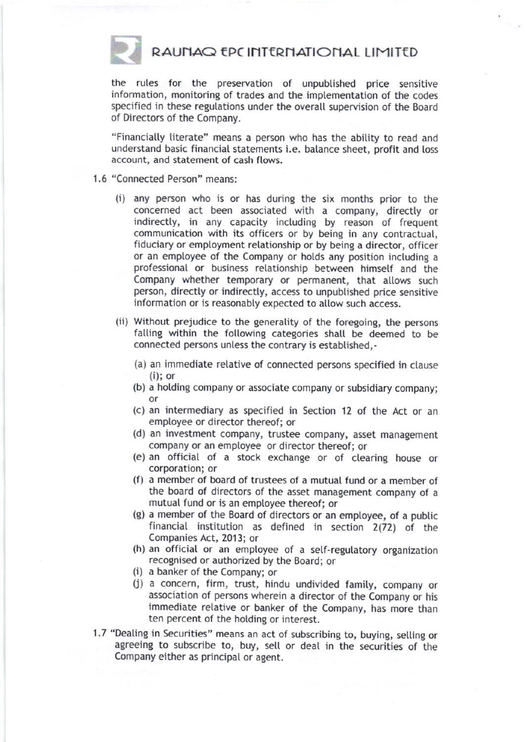

RAUNAQ EPC INTERNATIONAL LIMITED

the rules for the preservation of unpubtished price sensitive information, monitoring of trades and the implementation of the codes specified in these regulations under the overall supervision of the Board of Directors of the Company.

"Financialty literate" means a person who has the abitity to read and understand basic financial statements i.e. balance sheet, profit and toss account, and statement of cash ftows.

- 1.6 "Connected Person" means:
	- (i) any person who is or has during the six months prior to the concerned act been associated with a company, directly or indirectly, in any capacity including by reason of frequent communication with its officers or by being in any contractual, fiduciary or employment relationship or by being a director, officer or an employee of the Company or hotds any position including <sup>a</sup> professionat or business retationship between himsetf and the Company whether temporary or permanent, that allows such person, directly or indirectly, access to unpublished price sensitive information or is reasonably expected to allow such access.
	- (ii) Without prejudice to the generality of the foregoing, the persons falling within the following categories shall be deemed to be connected persons unless the contrary is established,-
		- (a) an immediate relative of connected persons specified in clause (i); or
		- (b) a hotding company or associate company or subsidiary company; or
		- (c) an intermediary as specified in Section 12 of the Act or an emptoyee or director thereof; or
		- (d) an investment company, trustee company, asset management company or an emptoyee or director thereof; or
		- (e) an officiat of a stock exchange or of clearing house or corporation; or
		- (f) a member of board of trustees of a mutual fund or a member of the board of directors of the asset management company of <sup>a</sup> mutual fund or is an emptoyee thereof; or
		- (g) a member of the Board of directors or an employee, of a public financial institution as defined in section 2(72) of the Companies Act, 2013; or
		- (h) an official or an employee of a self-regulatory organization recognised or authorized by the Eoard; or (i) a banker of the Company; or
		-
		- (j) a concern, firm, trust, hindu undivided famity, company or association of persons wherein a director of the Company or his immediate retative or banker of the Company, has more than ten percent of the hotding or interest.
- 1.7 "Dealing in Securities" means an act of subscribing to, buying, selling or agreeing to subscribe to, buy, selt or deat in the securities of the Company either as principat or agent.